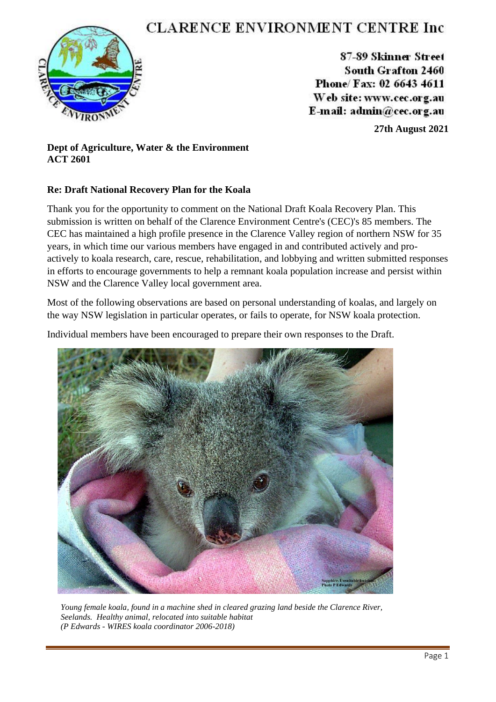# **CLARENCE ENVIRONMENT CENTRE Inc.**



87-89 Skinner Street South Grafton 2460 Phone/ Fax: 02 6643 4611 Web site: www.cec.org.au E-mail:  $\text{admin@cec.org.au}$ 

**27th August 2021**

# **Dept of Agriculture, Water & the Environment ACT 2601**

# **Re: Draft National Recovery Plan for the Koala**

Thank you for the opportunity to comment on the National Draft Koala Recovery Plan. This submission is written on behalf of the Clarence Environment Centre's (CEC)'s 85 members. The CEC has maintained a high profile presence in the Clarence Valley region of northern NSW for 35 years, in which time our various members have engaged in and contributed actively and proactively to koala research, care, rescue, rehabilitation, and lobbying and written submitted responses in efforts to encourage governments to help a remnant koala population increase and persist within NSW and the Clarence Valley local government area.

Most of the following observations are based on personal understanding of koalas, and largely on the way NSW legislation in particular operates, or fails to operate, for NSW koala protection.

Individual members have been encouraged to prepare their own responses to the Draft.



*Young female koala, found in a machine shed in cleared grazing land beside the Clarence River, Seelands. Healthy animal, relocated into suitable habitat (P Edwards - WIRES koala coordinator 2006-2018)*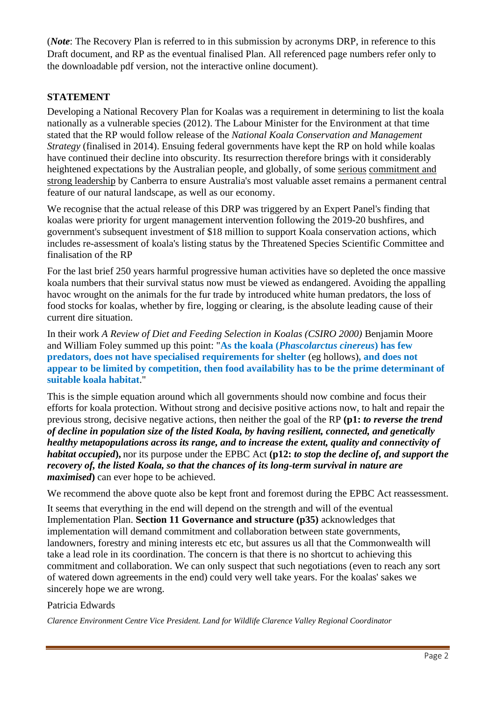(*Note*: The Recovery Plan is referred to in this submission by acronyms DRP, in reference to this Draft document, and RP as the eventual finalised Plan. All referenced page numbers refer only to the downloadable pdf version, not the interactive online document).

# **STATEMENT**

Developing a National Recovery Plan for Koalas was a requirement in determining to list the koala nationally as a vulnerable species (2012). The Labour Minister for the Environment at that time stated that the RP would follow release of the *National Koala Conservation and Management Strategy* (finalised in 2014). Ensuing federal governments have kept the RP on hold while koalas have continued their decline into obscurity. Its resurrection therefore brings with it considerably heightened expectations by the Australian people, and globally, of some serious commitment and strong leadership by Canberra to ensure Australia's most valuable asset remains a permanent central feature of our natural landscape, as well as our economy.

We recognise that the actual release of this DRP was triggered by an Expert Panel's finding that koalas were priority for urgent management intervention following the 2019-20 bushfires, and government's subsequent investment of \$18 million to support Koala conservation actions, which includes re-assessment of koala's listing status by the Threatened Species Scientific Committee and finalisation of the RP

For the last brief 250 years harmful progressive human activities have so depleted the once massive koala numbers that their survival status now must be viewed as endangered. Avoiding the appalling havoc wrought on the animals for the fur trade by introduced white human predators, the loss of food stocks for koalas, whether by fire, logging or clearing, is the absolute leading cause of their current dire situation.

In their work *A Review of Diet and Feeding Selection in Koalas (CSIRO 2000)* Benjamin Moore and William Foley summed up this point: "**As the koala (***Phascolarctus cinereus***) has few predators, does not have specialised requirements for shelter** (eg hollows)**, and does not appear to be limited by competition, then food availability has to be the prime determinant of suitable koala habitat**."

This is the simple equation around which all governments should now combine and focus their efforts for koala protection. Without strong and decisive positive actions now, to halt and repair the previous strong, decisive negative actions, then neither the goal of the RP **(p1:** *to reverse the trend of decline in population size of the listed Koala, by having resilient, connected, and genetically healthy metapopulations across its range, and to increase the extent, quality and connectivity of habitat occupied***),** nor its purpose under the EPBC Act **(p12:** *to stop the decline of, and support the recovery of, the listed Koala, so that the chances of its long-term survival in nature are maximised***)** can ever hope to be achieved.

We recommend the above quote also be kept front and foremost during the EPBC Act reassessment.

It seems that everything in the end will depend on the strength and will of the eventual Implementation Plan. **Section 11 Governance and structure (p35)** acknowledges that implementation will demand commitment and collaboration between state governments, landowners, forestry and mining interests etc etc, but assures us all that the Commonwealth will take a lead role in its coordination. The concern is that there is no shortcut to achieving this commitment and collaboration. We can only suspect that such negotiations (even to reach any sort of watered down agreements in the end) could very well take years. For the koalas' sakes we sincerely hope we are wrong.

### Patricia Edwards

*Clarence Environment Centre Vice President. Land for Wildlife Clarence Valley Regional Coordinator*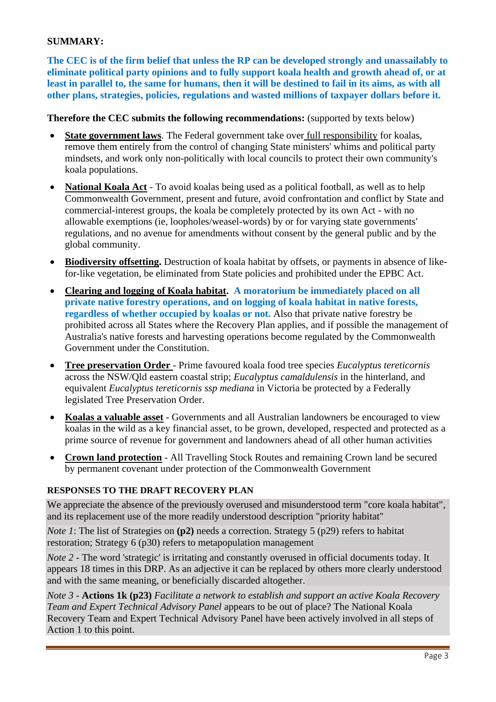### **SUMMARY:**

**The CEC is of the firm belief that unless the RP can be developed strongly and unassailably to eliminate political party opinions and to fully support koala health and growth ahead of, or at least in parallel to, the same for humans, then it will be destined to fail in its aims, as with all other plans, strategies, policies, regulations and wasted millions of taxpayer dollars before it.**

#### **Therefore the CEC submits the following recommendations:** (supported by texts below)

- **State government laws**. The Federal government take over full responsibility for koalas, remove them entirely from the control of changing State ministers' whims and political party mindsets, and work only non-politically with local councils to protect their own community's koala populations.
- **National Koala Act** To avoid koalas being used as a political football, as well as to help Commonwealth Government, present and future, avoid confrontation and conflict by State and commercial-interest groups, the koala be completely protected by its own Act - with no allowable exemptions (ie, loopholes/weasel-words) by or for varying state governments' regulations, and no avenue for amendments without consent by the general public and by the global community.
- **Biodiversity offsetting.** Destruction of koala habitat by offsets, or payments in absence of likefor-like vegetation, be eliminated from State policies and prohibited under the EPBC Act.
- **Clearing and logging of Koala habitat. A moratorium be immediately placed on all private native forestry operations, and on logging of koala habitat in native forests, regardless of whether occupied by koalas or not.** Also that private native forestry be prohibited across all States where the Recovery Plan applies, and if possible the management of Australia's native forests and harvesting operations become regulated by the Commonwealth Government under the Constitution.
- **Tree preservation Order**  Prime favoured koala food tree species *Eucalyptus tereticornis* across the NSW/Qld eastern coastal strip; *Eucalyptus camaldulensis* in the hinterland, and equivalent *Eucalyptus tereticornis ssp mediana* in Victoria be protected by a Federally legislated Tree Preservation Order.
- **Koalas a valuable asset** Governments and all Australian landowners be encouraged to view koalas in the wild as a key financial asset, to be grown, developed, respected and protected as a prime source of revenue for government and landowners ahead of all other human activities
- **Crown land protection** All Travelling Stock Routes and remaining Crown land be secured by permanent covenant under protection of the Commonwealth Government

#### **RESPONSES TO THE DRAFT RECOVERY PLAN**

We appreciate the absence of the previously overused and misunderstood term "core koala habitat", and its replacement use of the more readily understood description "priority habitat"

*Note 1*: The list of Strategies on (p2) needs a correction. Strategy 5 (p29) refers to habitat restoration; Strategy 6 (p30) refers to metapopulation management

*Note 2* - The word 'strategic' is irritating and constantly overused in official documents today. It appears 18 times in this DRP. As an adjective it can be replaced by others more clearly understood and with the same meaning, or beneficially discarded altogether.

*Note 3* - **Actions 1k (p23)** *Facilitate a network to establish and support an active Koala Recovery Team and Expert Technical Advisory Panel* appears to be out of place? The National Koala Recovery Team and Expert Technical Advisory Panel have been actively involved in all steps of Action 1 to this point.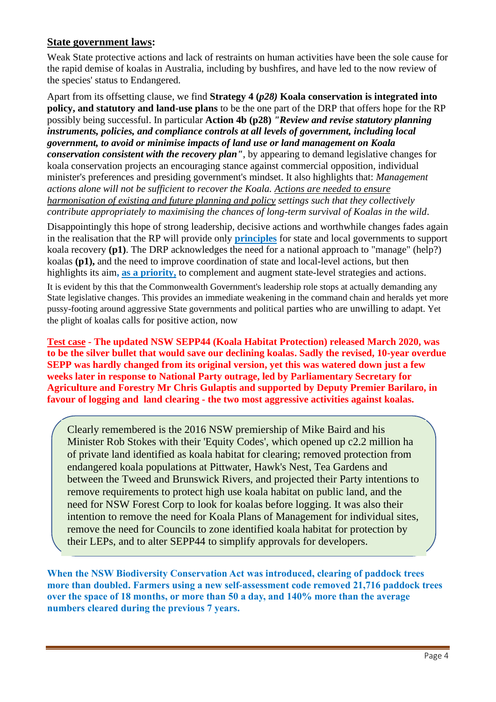# **State government laws:**

Weak State protective actions and lack of restraints on human activities have been the sole cause for the rapid demise of koalas in Australia, including by bushfires, and have led to the now review of the species' status to Endangered.

Apart from its offsetting clause, we find **Strategy 4 (***p28)* **Koala conservation is integrated into policy, and statutory and land-use plans** to be the one part of the DRP that offers hope for the RP possibly being successful. In particular **Action 4b (p28)** *"Review and revise statutory planning instruments, policies, and compliance controls at all levels of government, including local government, to avoid or minimise impacts of land use or land management on Koala conservation consistent with the recovery plan"*, by appearing to demand legislative changes for koala conservation projects an encouraging stance against commercial opposition, individual minister's preferences and presiding government's mindset. It also highlights that: *Management actions alone will not be sufficient to recover the Koala. Actions are needed to ensure harmonisation of existing and future planning and policy settings such that they collectively contribute appropriately to maximising the chances of long-term survival of Koalas in the wild*.

Disappointingly this hope of strong leadership, decisive actions and worthwhile changes fades again in the realisation that the RP will provide only **principles** for state and local governments to support koala recovery **(p1)**. The DRP acknowledges the need for a national approach to "manage" (help?) koalas **(p1),** and the need to improve coordination of state and local-level actions, but then highlights its aim**, as a priority,** to complement and augment state-level strategies and actions.

It is evident by this that the Commonwealth Government's leadership role stops at actually demanding any State legislative changes. This provides an immediate weakening in the command chain and heralds yet more pussy-footing around aggressive State governments and political parties who are unwilling to adapt. Yet the plight of koalas calls for positive action, now

**Test case - The updated NSW SEPP44 (Koala Habitat Protection) released March 2020, was to be the silver bullet that would save our declining koalas. Sadly the revised, 10-year overdue SEPP was hardly changed from its original version, yet this was watered down just a few weeks later in response to National Party outrage, led by Parliamentary Secretary for Agriculture and Forestry Mr Chris Gulaptis and supported by Deputy Premier Barilaro, in favour of logging and land clearing - the two most aggressive activities against koalas.**

Clearly remembered is the 2016 NSW premiership of Mike Baird and his Minister Rob Stokes with their 'Equity Codes', which opened up c2.2 million ha of private land identified as koala habitat for clearing; removed protection from endangered koala populations at Pittwater, Hawk's Nest, Tea Gardens and between the Tweed and Brunswick Rivers, and projected their Party intentions to remove requirements to protect high use koala habitat on public land, and the need for NSW Forest Corp to look for koalas before logging. It was also their intention to remove the need for Koala Plans of Management for individual sites, remove the need for Councils to zone identified koala habitat for protection by their LEPs, and to alter SEPP44 to simplify approvals for developers.

**When the NSW Biodiversity Conservation Act was introduced, clearing of paddock trees more than doubled. Farmers using a new self-assessment code removed 21,716 paddock trees over the space of 18 months, or more than 50 a day, and 140% more than the average numbers cleared during the previous 7 years.**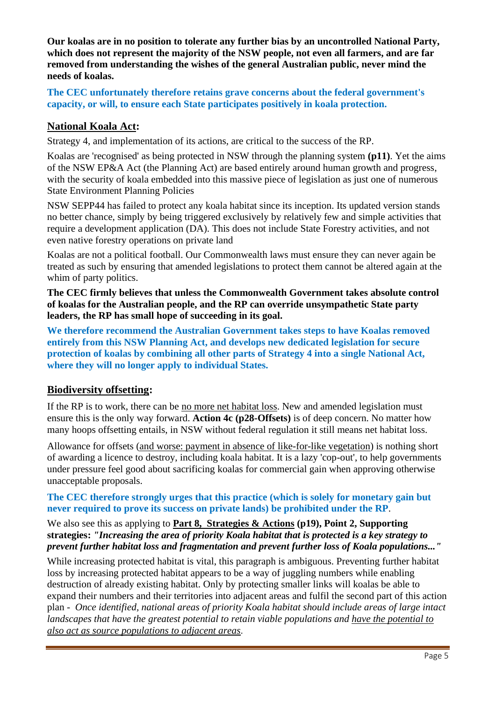**Our koalas are in no position to tolerate any further bias by an uncontrolled National Party, which does not represent the majority of the NSW people, not even all farmers, and are far removed from understanding the wishes of the general Australian public, never mind the needs of koalas.**

**The CEC unfortunately therefore retains grave concerns about the federal government's capacity, or will, to ensure each State participates positively in koala protection.**

# **National Koala Act:**

Strategy 4, and implementation of its actions, are critical to the success of the RP.

Koalas are 'recognised' as being protected in NSW through the planning system **(p11)**. Yet the aims of the NSW EP&A Act (the Planning Act) are based entirely around human growth and progress, with the security of koala embedded into this massive piece of legislation as just one of numerous State Environment Planning Policies

NSW SEPP44 has failed to protect any koala habitat since its inception. Its updated version stands no better chance, simply by being triggered exclusively by relatively few and simple activities that require a development application (DA). This does not include State Forestry activities, and not even native forestry operations on private land

Koalas are not a political football. Our Commonwealth laws must ensure they can never again be treated as such by ensuring that amended legislations to protect them cannot be altered again at the whim of party politics.

**The CEC firmly believes that unless the Commonwealth Government takes absolute control of koalas for the Australian people, and the RP can override unsympathetic State party leaders, the RP has small hope of succeeding in its goal.** 

**We therefore recommend the Australian Government takes steps to have Koalas removed entirely from this NSW Planning Act, and develops new dedicated legislation for secure protection of koalas by combining all other parts of Strategy 4 into a single National Act, where they will no longer apply to individual States.**

### **Biodiversity offsetting:**

If the RP is to work, there can be no more net habitat loss. New and amended legislation must ensure this is the only way forward. **Action 4c (p28-Offsets)** is of deep concern. No matter how many hoops offsetting entails, in NSW without federal regulation it still means net habitat loss.

Allowance for offsets (and worse: payment in absence of like-for-like vegetation) is nothing short of awarding a licence to destroy, including koala habitat. It is a lazy 'cop-out', to help governments under pressure feel good about sacrificing koalas for commercial gain when approving otherwise unacceptable proposals.

#### **The CEC therefore strongly urges that this practice (which is solely for monetary gain but never required to prove its success on private lands) be prohibited under the RP**.

# We also see this as applying to **Part 8, Strategies & Actions (p19), Point 2, Supporting strategies:** *"Increasing the area of priority Koala habitat that is protected is a key strategy to prevent further habitat loss and fragmentation and prevent further loss of Koala populations..."*

While increasing protected habitat is vital, this paragraph is ambiguous. Preventing further habitat loss by increasing protected habitat appears to be a way of juggling numbers while enabling destruction of already existing habitat. Only by protecting smaller links will koalas be able to expand their numbers and their territories into adjacent areas and fulfil the second part of this action plan - *Once identified, national areas of priority Koala habitat should include areas of large intact landscapes that have the greatest potential to retain viable populations and have the potential to also act as source populations to adjacent areas*.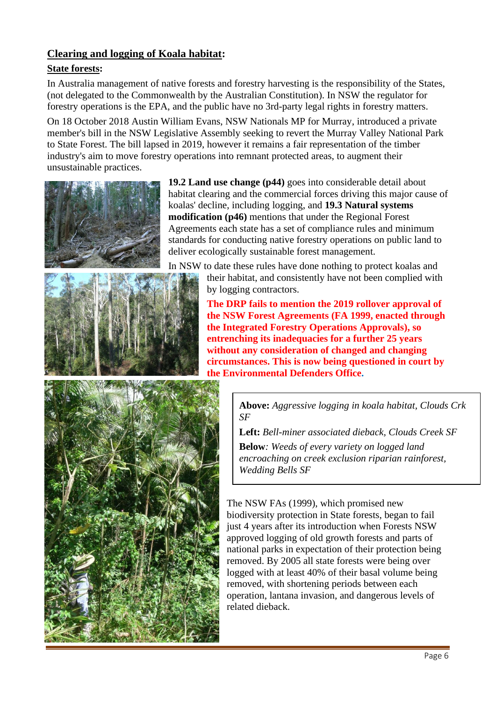# **Clearing and logging of Koala habitat:**

# **State forests:**

In Australia management of native forests and forestry harvesting is the responsibility of the States, (not delegated to the Commonwealth by the Australian Constitution). In NSW the regulator for forestry operations is the EPA, and the public have no 3rd-party legal rights in forestry matters.

On 18 October 2018 Austin William Evans, NSW Nationals MP for Murray, introduced a private member's bill in the NSW Legislative Assembly seeking to revert the Murray Valley National Park to State Forest. The bill lapsed in 2019, however it remains a fair representation of the timber industry's aim to move forestry operations into remnant protected areas, to augment their unsustainable practices.



**19.2 Land use change (p44)** goes into considerable detail about habitat clearing and the commercial forces driving this major cause of koalas' decline, including logging, and **19.3 Natural systems modification (p46)** mentions that under the Regional Forest Agreements each state has a set of compliance rules and minimum standards for conducting native forestry operations on public land to deliver ecologically sustainable forest management.



In NSW to date these rules have done nothing to protect koalas and their habitat, and consistently have not been complied with by logging contractors.

> **The DRP fails to mention the 2019 rollover approval of the NSW Forest Agreements (FA 1999, enacted through the Integrated Forestry Operations Approvals), so entrenching its inadequacies for a further 25 years without any consideration of changed and changing circumstances. This is now being questioned in court by the Environmental Defenders Office.**



**Above:** *Aggressive logging in koala habitat, Clouds Crk SF*

**Left:** *Bell-miner associated dieback, Clouds Creek SF*

**Below***: Weeds of every variety on logged land encroaching on creek exclusion riparian rainforest, Wedding Bells SF*

The NSW FAs (1999), which promised new biodiversity protection in State forests, began to fail just 4 years after its introduction when Forests NSW approved logging of old growth forests and parts of national parks in expectation of their protection being removed. By 2005 all state forests were being over logged with at least 40% of their basal volume being removed, with shortening periods between each operation, lantana invasion, and dangerous levels of related dieback.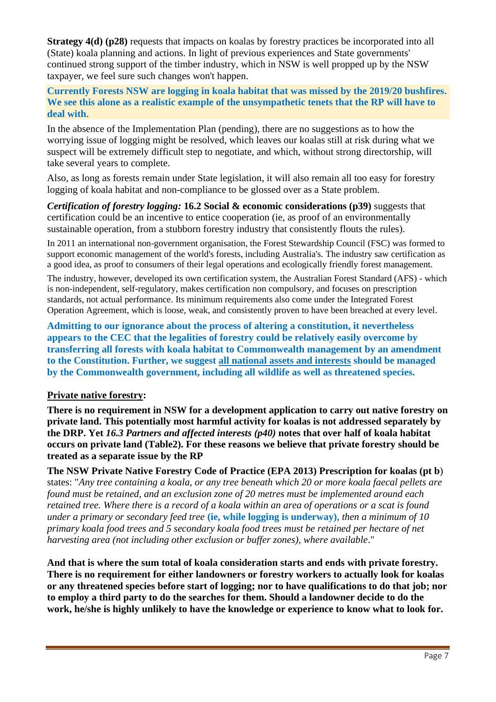**Strategy 4(d) (p28)** requests that impacts on koalas by forestry practices be incorporated into all (State) koala planning and actions. In light of previous experiences and State governments' continued strong support of the timber industry, which in NSW is well propped up by the NSW taxpayer, we feel sure such changes won't happen.

**Currently Forests NSW are logging in koala habitat that was missed by the 2019/20 bushfires. We see this alone as a realistic example of the unsympathetic tenets that the RP will have to deal with**.

In the absence of the Implementation Plan (pending), there are no suggestions as to how the worrying issue of logging might be resolved, which leaves our koalas still at risk during what we suspect will be extremely difficult step to negotiate, and which, without strong directorship, will take several years to complete.

Also, as long as forests remain under State legislation, it will also remain all too easy for forestry logging of koala habitat and non-compliance to be glossed over as a State problem.

*Certification of forestry logging:* **16.2 Social & economic considerations (p39)** suggests that certification could be an incentive to entice cooperation (ie, as proof of an environmentally sustainable operation, from a stubborn forestry industry that consistently flouts the rules).

In 2011 an international non-government organisation, the Forest Stewardship Council (FSC) was formed to support economic management of the world's forests, including Australia's. The industry saw certification as a good idea, as proof to consumers of their legal operations and ecologically friendly forest management.

The industry, however, developed its own certification system, the Australian Forest Standard (AFS) - which is non-independent, self-regulatory, makes certification non compulsory, and focuses on prescription standards, not actual performance. Its minimum requirements also come under the Integrated Forest Operation Agreement, which is loose, weak, and consistently proven to have been breached at every level.

**Admitting to our ignorance about the process of altering a constitution, it nevertheless appears to the CEC that the legalities of forestry could be relatively easily overcome by transferring all forests with koala habitat to Commonwealth management by an amendment to the Constitution. Further, we suggest all national assets and interests should be managed by the Commonwealth government, including all wildlife as well as threatened species.**

### **Private native forestry:**

**There is no requirement in NSW for a development application to carry out native forestry on private land. This potentially most harmful activity for koalas is not addressed separately by the DRP. Yet** *16.3 Partners and affected interests (p40)* **notes that over half of koala habitat occurs on private land (Table2). For these reasons we believe that private forestry should be treated as a separate issue by the RP**

**The NSW Private Native Forestry Code of Practice (EPA 2013) Prescription for koalas (pt b**) states: "*Any tree containing a koala, or any tree beneath which 20 or more koala faecal pellets are found must be retained, and an exclusion zone of 20 metres must be implemented around each retained tree. Where there is a record of a koala within an area of operations or a scat is found under a primary or secondary feed tree* **(ie, while logging is underway)**, *then a minimum of 10 primary koala food trees and 5 secondary koala food trees must be retained per hectare of net harvesting area (not including other exclusion or buffer zones), where available*."

**And that is where the sum total of koala consideration starts and ends with private forestry. There is no requirement for either landowners or forestry workers to actually look for koalas or any threatened species before start of logging; nor to have qualifications to do that job; nor to employ a third party to do the searches for them. Should a landowner decide to do the work, he/she is highly unlikely to have the knowledge or experience to know what to look for.**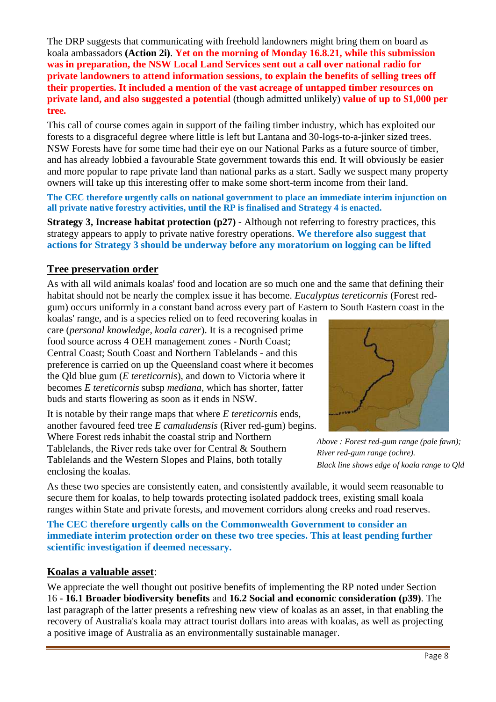The DRP suggests that communicating with freehold landowners might bring them on board as koala ambassadors **(Action 2i)**. **Yet on the morning of Monday 16.8.21, while this submission was in preparation, the NSW Local Land Services sent out a call over national radio for private landowners to attend information sessions, to explain the benefits of selling trees off their properties. It included a mention of the vast acreage of untapped timber resources on private land, and also suggested a potential** (though admitted unlikely) **value of up to \$1,000 per tree.** 

This call of course comes again in support of the failing timber industry, which has exploited our forests to a disgraceful degree where little is left but Lantana and 30-logs-to-a-jinker sized trees. NSW Forests have for some time had their eye on our National Parks as a future source of timber, and has already lobbied a favourable State government towards this end. It will obviously be easier and more popular to rape private land than national parks as a start. Sadly we suspect many property owners will take up this interesting offer to make some short-term income from their land.

**The CEC therefore urgently calls on national government to place an immediate interim injunction on all private native forestry activities, until the RP is finalised and Strategy 4 is enacted.** 

**Strategy 3, Increase habitat protection (p27)** - Although not referring to forestry practices, this strategy appears to apply to private native forestry operations. **We therefore also suggest that actions for Strategy 3 should be underway before any moratorium on logging can be lifted**

# **Tree preservation order**

As with all wild animals koalas' food and location are so much one and the same that defining their habitat should not be nearly the complex issue it has become. *Eucalyptus tereticornis* (Forest redgum) occurs uniformly in a constant band across every part of Eastern to South Eastern coast in the

koalas' range, and is a species relied on to feed recovering koalas in care (*personal knowledge, koala carer*). It is a recognised prime food source across 4 OEH management zones - North Coast; Central Coast; South Coast and Northern Tablelands - and this preference is carried on up the Queensland coast where it becomes the Qld blue gum (*E tereticornis*), and down to Victoria where it becomes *E tereticornis* subsp *mediana*, which has shorter, fatter buds and starts flowering as soon as it ends in NSW.

It is notable by their range maps that where *E tereticornis* ends*,* another favoured feed tree *E camaludensis* (River red-gum) begins. Where Forest reds inhabit the coastal strip and Northern Tablelands, the River reds take over for Central & Southern Tablelands and the Western Slopes and Plains, both totally enclosing the koalas.



*Above : Forest red-gum range (pale fawn); River red-gum range (ochre). Black line shows edge of koala range to Qld*

As these two species are consistently eaten, and consistently available, it would seem reasonable to secure them for koalas, to help towards protecting isolated paddock trees, existing small koala ranges within State and private forests, and movement corridors along creeks and road reserves.

**The CEC therefore urgently calls on the Commonwealth Government to consider an immediate interim protection order on these two tree species. This at least pending further scientific investigation if deemed necessary.**

### **Koalas a valuable asset**:

We appreciate the well thought out positive benefits of implementing the RP noted under Section 16 - **16.1 Broader biodiversity benefits** and **16.2 Social and economic consideration (p39)**. The last paragraph of the latter presents a refreshing new view of koalas as an asset, in that enabling the recovery of Australia's koala may attract tourist dollars into areas with koalas, as well as projecting a positive image of Australia as an environmentally sustainable manager.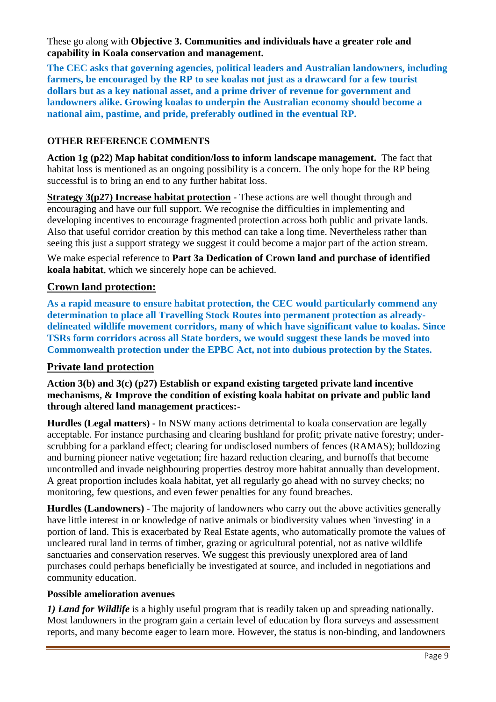These go along with **Objective 3. Communities and individuals have a greater role and capability in Koala conservation and management.** 

**The CEC asks that governing agencies, political leaders and Australian landowners, including farmers, be encouraged by the RP to see koalas not just as a drawcard for a few tourist dollars but as a key national asset, and a prime driver of revenue for government and landowners alike. Growing koalas to underpin the Australian economy should become a national aim, pastime, and pride, preferably outlined in the eventual RP.**

# **OTHER REFERENCE COMMENTS**

**Action 1g (p22) Map habitat condition/loss to inform landscape management.** The fact that habitat loss is mentioned as an ongoing possibility is a concern. The only hope for the RP being successful is to bring an end to any further habitat loss.

**Strategy 3(p27) Increase habitat protection** - These actions are well thought through and encouraging and have our full support. We recognise the difficulties in implementing and developing incentives to encourage fragmented protection across both public and private lands. Also that useful corridor creation by this method can take a long time. Nevertheless rather than seeing this just a support strategy we suggest it could become a major part of the action stream.

We make especial reference to **Part 3a Dedication of Crown land and purchase of identified koala habitat**, which we sincerely hope can be achieved.

### **Crown land protection:**

**As a rapid measure to ensure habitat protection, the CEC would particularly commend any determination to place all Travelling Stock Routes into permanent protection as alreadydelineated wildlife movement corridors, many of which have significant value to koalas. Since TSRs form corridors across all State borders, we would suggest these lands be moved into Commonwealth protection under the EPBC Act, not into dubious protection by the States.** 

### **Private land protection**

**Action 3(b) and 3(c) (p27) Establish or expand existing targeted private land incentive mechanisms, & Improve the condition of existing koala habitat on private and public land through altered land management practices:-**

**Hurdles (Legal matters) -** In NSW many actions detrimental to koala conservation are legally acceptable. For instance purchasing and clearing bushland for profit; private native forestry; underscrubbing for a parkland effect; clearing for undisclosed numbers of fences (RAMAS); bulldozing and burning pioneer native vegetation; fire hazard reduction clearing, and burnoffs that become uncontrolled and invade neighbouring properties destroy more habitat annually than development. A great proportion includes koala habitat, yet all regularly go ahead with no survey checks; no monitoring, few questions, and even fewer penalties for any found breaches.

**Hurdles (Landowners)** - The majority of landowners who carry out the above activities generally have little interest in or knowledge of native animals or biodiversity values when 'investing' in a portion of land. This is exacerbated by Real Estate agents, who automatically promote the values of uncleared rural land in terms of timber, grazing or agricultural potential, not as native wildlife sanctuaries and conservation reserves. We suggest this previously unexplored area of land purchases could perhaps beneficially be investigated at source, and included in negotiations and community education.

#### **Possible amelioration avenues**

*1) Land for Wildlife* is a highly useful program that is readily taken up and spreading nationally. Most landowners in the program gain a certain level of education by flora surveys and assessment reports, and many become eager to learn more. However, the status is non-binding, and landowners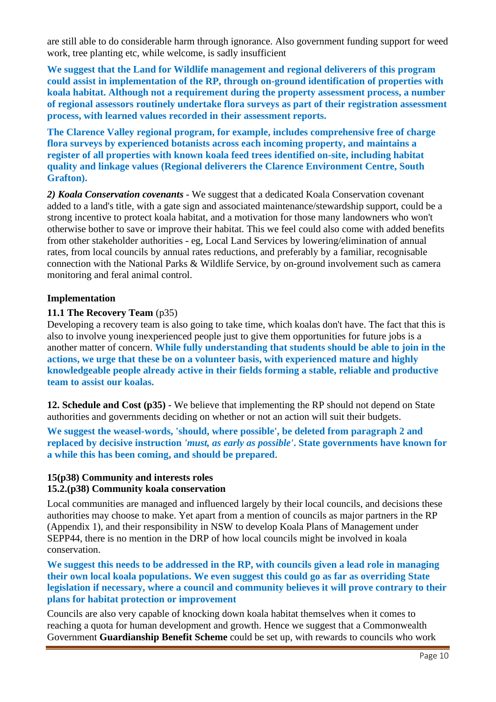are still able to do considerable harm through ignorance. Also government funding support for weed work, tree planting etc, while welcome, is sadly insufficient

**We suggest that the Land for Wildlife management and regional deliverers of this program could assist in implementation of the RP, through on-ground identification of properties with koala habitat. Although not a requirement during the property assessment process, a number of regional assessors routinely undertake flora surveys as part of their registration assessment process, with learned values recorded in their assessment reports.** 

**The Clarence Valley regional program, for example, includes comprehensive free of charge flora surveys by experienced botanists across each incoming property, and maintains a register of all properties with known koala feed trees identified on-site, including habitat quality and linkage values (Regional deliverers the Clarence Environment Centre, South Grafton).**

*2) Koala Conservation covenants* - We suggest that a dedicated Koala Conservation covenant added to a land's title, with a gate sign and associated maintenance/stewardship support, could be a strong incentive to protect koala habitat, and a motivation for those many landowners who won't otherwise bother to save or improve their habitat. This we feel could also come with added benefits from other stakeholder authorities - eg, Local Land Services by lowering/elimination of annual rates, from local councils by annual rates reductions, and preferably by a familiar, recognisable connection with the National Parks & Wildlife Service, by on-ground involvement such as camera monitoring and feral animal control.

### **Implementation**

### **11.1 The Recovery Team** (p35)

Developing a recovery team is also going to take time, which koalas don't have. The fact that this is also to involve young inexperienced people just to give them opportunities for future jobs is a another matter of concern. **While fully understanding that students should be able to join in the actions, we urge that these be on a volunteer basis, with experienced mature and highly knowledgeable people already active in their fields forming a stable, reliable and productive team to assist our koalas.**

**12. Schedule and Cost (p35)** - We believe that implementing the RP should not depend on State authorities and governments deciding on whether or not an action will suit their budgets.

**We suggest the weasel-words, 'should, where possible', be deleted from paragraph 2 and replaced by decisive instruction** *'must, as early as possible'***. State governments have known for a while this has been coming, and should be prepared**.

### **15(p38) Community and interests roles 15.2.(p38) Community koala conservation**

Local communities are managed and influenced largely by their local councils, and decisions these authorities may choose to make. Yet apart from a mention of councils as major partners in the RP (Appendix 1), and their responsibility in NSW to develop Koala Plans of Management under SEPP44, there is no mention in the DRP of how local councils might be involved in koala conservation.

**We suggest this needs to be addressed in the RP, with councils given a lead role in managing their own local koala populations. We even suggest this could go as far as overriding State legislation if necessary, where a council and community believes it will prove contrary to their plans for habitat protection or improvement**

Councils are also very capable of knocking down koala habitat themselves when it comes to reaching a quota for human development and growth. Hence we suggest that a Commonwealth Government **Guardianship Benefit Scheme** could be set up, with rewards to councils who work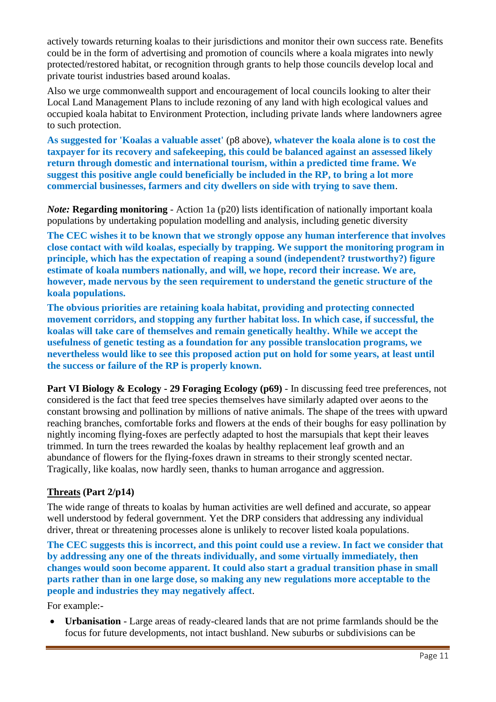actively towards returning koalas to their jurisdictions and monitor their own success rate. Benefits could be in the form of advertising and promotion of councils where a koala migrates into newly protected/restored habitat, or recognition through grants to help those councils develop local and private tourist industries based around koalas.

Also we urge commonwealth support and encouragement of local councils looking to alter their Local Land Management Plans to include rezoning of any land with high ecological values and occupied koala habitat to Environment Protection, including private lands where landowners agree to such protection.

**As suggested for 'Koalas a valuable asset'** (p8 above)**, whatever the koala alone is to cost the taxpayer for its recovery and safekeeping, this could be balanced against an assessed likely return through domestic and international tourism, within a predicted time frame. We suggest this positive angle could beneficially be included in the RP, to bring a lot more commercial businesses, farmers and city dwellers on side with trying to save them**.

*Note*: **Regarding monitoring** - Action 1a (p20) lists identification of nationally important koala populations by undertaking population modelling and analysis, including genetic diversity

**The CEC wishes it to be known that we strongly oppose any human interference that involves close contact with wild koalas, especially by trapping. We support the monitoring program in principle, which has the expectation of reaping a sound (independent? trustworthy?) figure estimate of koala numbers nationally, and will, we hope, record their increase. We are, however, made nervous by the seen requirement to understand the genetic structure of the koala populations.**

**The obvious priorities are retaining koala habitat, providing and protecting connected movement corridors, and stopping any further habitat loss. In which case, if successful, the koalas will take care of themselves and remain genetically healthy. While we accept the usefulness of genetic testing as a foundation for any possible translocation programs, we nevertheless would like to see this proposed action put on hold for some years, at least until the success or failure of the RP is properly known.**

**Part VI Biology & Ecology - 29 Foraging Ecology (p69)** - In discussing feed tree preferences, not considered is the fact that feed tree species themselves have similarly adapted over aeons to the constant browsing and pollination by millions of native animals. The shape of the trees with upward reaching branches, comfortable forks and flowers at the ends of their boughs for easy pollination by nightly incoming flying-foxes are perfectly adapted to host the marsupials that kept their leaves trimmed. In turn the trees rewarded the koalas by healthy replacement leaf growth and an abundance of flowers for the flying-foxes drawn in streams to their strongly scented nectar. Tragically, like koalas, now hardly seen, thanks to human arrogance and aggression.

### **Threats (Part 2/p14)**

The wide range of threats to koalas by human activities are well defined and accurate, so appear well understood by federal government. Yet the DRP considers that addressing any individual driver, threat or threatening processes alone is unlikely to recover listed koala populations.

**The CEC suggests this is incorrect, and this point could use a review. In fact we consider that by addressing any one of the threats individually, and some virtually immediately, then changes would soon become apparent. It could also start a gradual transition phase in small parts rather than in one large dose, so making any new regulations more acceptable to the people and industries they may negatively affect**.

For example:-

• **Urbanisation** - Large areas of ready-cleared lands that are not prime farmlands should be the focus for future developments, not intact bushland. New suburbs or subdivisions can be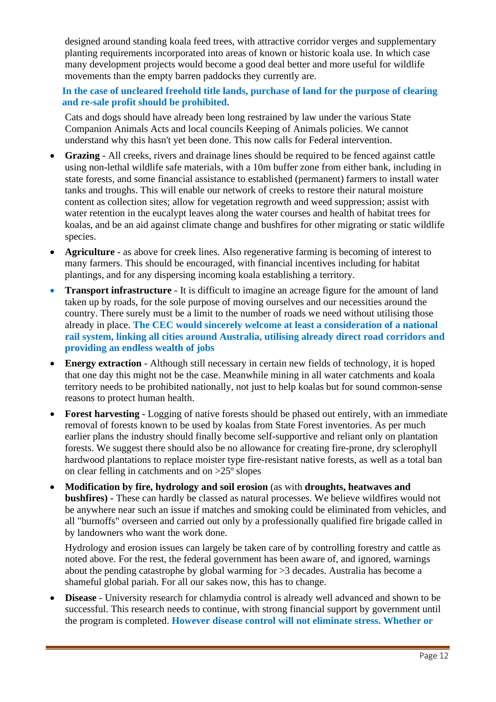designed around standing koala feed trees, with attractive corridor verges and supplementary planting requirements incorporated into areas of known or historic koala use. In which case many development projects would become a good deal better and more useful for wildlife movements than the empty barren paddocks they currently are.

**In the case of uncleared freehold title lands, purchase of land for the purpose of clearing and re-sale profit should be prohibited.**

Cats and dogs should have already been long restrained by law under the various State Companion Animals Acts and local councils Keeping of Animals policies. We cannot understand why this hasn't yet been done. This now calls for Federal intervention.

- **Grazing** All creeks, rivers and drainage lines should be required to be fenced against cattle using non-lethal wildlife safe materials, with a 10m buffer zone from either bank, including in state forests, and some financial assistance to established (permanent) farmers to install water tanks and troughs. This will enable our network of creeks to restore their natural moisture content as collection sites; allow for vegetation regrowth and weed suppression; assist with water retention in the eucalypt leaves along the water courses and health of habitat trees for koalas, and be an aid against climate change and bushfires for other migrating or static wildlife species.
- **Agriculture** as above for creek lines. Also regenerative farming is becoming of interest to many farmers. This should be encouraged, with financial incentives including for habitat plantings, and for any dispersing incoming koala establishing a territory.
- **Transport infrastructure** It is difficult to imagine an acreage figure for the amount of land taken up by roads, for the sole purpose of moving ourselves and our necessities around the country. There surely must be a limit to the number of roads we need without utilising those already in place. **The CEC would sincerely welcome at least a consideration of a national rail system, linking all cities around Australia, utilising already direct road corridors and providing an endless wealth of jobs**
- **Energy extraction** Although still necessary in certain new fields of technology, it is hoped that one day this might not be the case. Meanwhile mining in all water catchments and koala territory needs to be prohibited nationally, not just to help koalas but for sound common-sense reasons to protect human health.
- **Forest harvesting**  Logging of native forests should be phased out entirely, with an immediate removal of forests known to be used by koalas from State Forest inventories. As per much earlier plans the industry should finally become self-supportive and reliant only on plantation forests. We suggest there should also be no allowance for creating fire-prone, dry sclerophyll hardwood plantations to replace moister type fire-resistant native forests, as well as a total ban on clear felling in catchments and on >25º slopes
- **Modification by fire, hydrology and soil erosion** (as with **droughts, heatwaves and bushfires) -** These can hardly be classed as natural processes. We believe wildfires would not be anywhere near such an issue if matches and smoking could be eliminated from vehicles, and all "burnoffs" overseen and carried out only by a professionally qualified fire brigade called in by landowners who want the work done.

Hydrology and erosion issues can largely be taken care of by controlling forestry and cattle as noted above. For the rest, the federal government has been aware of, and ignored, warnings about the pending catastrophe by global warming for >3 decades. Australia has become a shameful global pariah. For all our sakes now, this has to change.

• **Disease** - University research for chlamydia control is already well advanced and shown to be successful. This research needs to continue, with strong financial support by government until the program is completed. **However disease control will not eliminate stress. Whether or**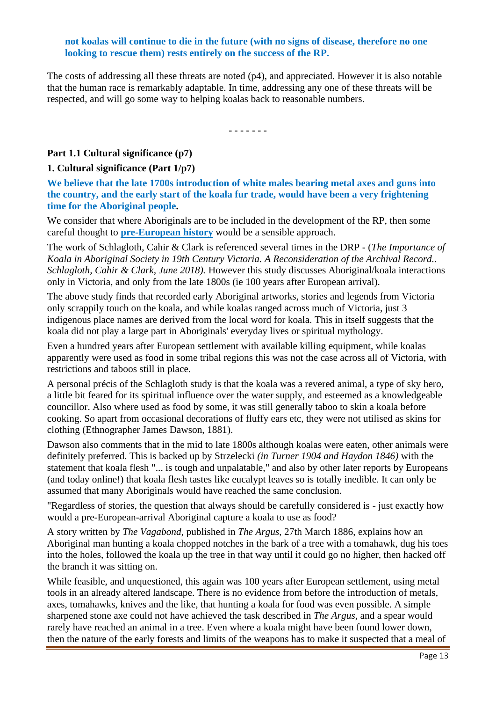#### **not koalas will continue to die in the future (with no signs of disease, therefore no one looking to rescue them) rests entirely on the success of the RP.**

The costs of addressing all these threats are noted (p4), and appreciated. However it is also notable that the human race is remarkably adaptable. In time, addressing any one of these threats will be respected, and will go some way to helping koalas back to reasonable numbers.

**- - - - - - -**

#### **Part 1.1 Cultural significance (p7)**

#### **1. Cultural significance (Part 1/p7)**

**We believe that the late 1700s introduction of white males bearing metal axes and guns into the country, and the early start of the koala fur trade, would have been a very frightening time for the Aboriginal people.**

We consider that where Aboriginals are to be included in the development of the RP, then some careful thought to **pre-European history** would be a sensible approach.

The work of Schlagloth, Cahir & Clark is referenced several times in the DRP - (*The Importance of Koala in Aboriginal Society in 19th Century Victoria. A Reconsideration of the Archival Record.. Schlagloth, Cahir & Clark, June 2018).* However this study discusses Aboriginal/koala interactions only in Victoria, and only from the late 1800s (ie 100 years after European arrival).

The above study finds that recorded early Aboriginal artworks, stories and legends from Victoria only scrappily touch on the koala, and while koalas ranged across much of Victoria, just 3 indigenous place names are derived from the local word for koala. This in itself suggests that the koala did not play a large part in Aboriginals' everyday lives or spiritual mythology.

Even a hundred years after European settlement with available killing equipment, while koalas apparently were used as food in some tribal regions this was not the case across all of Victoria, with restrictions and taboos still in place.

A personal précis of the Schlagloth study is that the koala was a revered animal, a type of sky hero, a little bit feared for its spiritual influence over the water supply, and esteemed as a knowledgeable councillor. Also where used as food by some, it was still generally taboo to skin a koala before cooking. So apart from occasional decorations of fluffy ears etc, they were not utilised as skins for clothing (Ethnographer James Dawson, 1881).

Dawson also comments that in the mid to late 1800s although koalas were eaten, other animals were definitely preferred. This is backed up by Strzelecki *(in Turner 1904 and Haydon 1846)* with the statement that koala flesh "... is tough and unpalatable," and also by other later reports by Europeans (and today online!) that koala flesh tastes like eucalypt leaves so is totally inedible. It can only be assumed that many Aboriginals would have reached the same conclusion.

"Regardless of stories, the question that always should be carefully considered is - just exactly how would a pre-European-arrival Aboriginal capture a koala to use as food?

A story written by *The Vagabond*, published in *The Argus*, 27th March 1886, explains how an Aboriginal man hunting a koala chopped notches in the bark of a tree with a tomahawk, dug his toes into the holes, followed the koala up the tree in that way until it could go no higher, then hacked off the branch it was sitting on.

While feasible, and unquestioned, this again was 100 years after European settlement, using metal tools in an already altered landscape. There is no evidence from before the introduction of metals, axes, tomahawks, knives and the like, that hunting a koala for food was even possible. A simple sharpened stone axe could not have achieved the task described in *The Argus,* and a spear would rarely have reached an animal in a tree. Even where a koala might have been found lower down, then the nature of the early forests and limits of the weapons has to make it suspected that a meal of